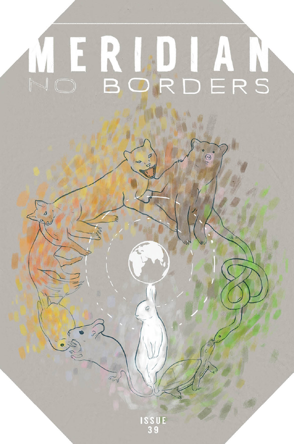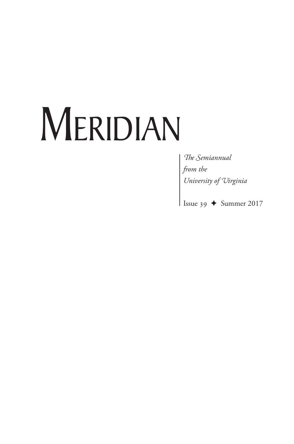# MERIDIAN

The Semiannual from the<br>
University of Uirginia<br>
Issue 39  $\leftrightarrow$  Summer 2017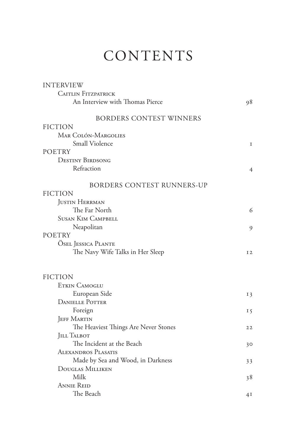## **CONTENTS**

| <b>INTERVIEW</b>                     |                |
|--------------------------------------|----------------|
| <b>CAITLIN FITZPATRICK</b>           |                |
| An Interview with Thomas Pierce      | 98             |
| <b>BORDERS CONTEST WINNERS</b>       |                |
| <b>FICTION</b>                       |                |
| MAR COLÓN-MARGOLIES                  |                |
| Small Violence                       | I              |
| <b>POETRY</b>                        |                |
| <b>DESTINY BIRDSONG</b>              |                |
| Refraction                           | 4              |
| <b>BORDERS CONTEST RUNNERS-UP</b>    |                |
| <b>FICTION</b>                       |                |
| <b>JUSTIN HERRMAN</b>                |                |
| The Far North                        | 6              |
| <b>SUSAN KIM CAMPBELL</b>            |                |
| Neapolitan                           | 9              |
| <b>POETRY</b>                        |                |
| <b>OSEL JESSICA PLANTE</b>           |                |
| The Navy Wife Talks in Her Sleep     | I <sub>2</sub> |
|                                      |                |
| <b>FICTION</b>                       |                |
| <b>ETKIN CAMOGLU</b>                 |                |
| European Side                        | I 3            |
| <b>DANIELLE POTTER</b>               |                |
| Foreign                              | I 5            |
| <b>JEFF MARTIN</b>                   |                |
| The Heaviest Things Are Never Stones | 22             |
| <b>JILL TALBOT</b>                   |                |
| The Incident at the Beach            | 30             |
| ALEXANDROS PLASATIS                  |                |
| Made by Sea and Wood, in Darkness    | 33             |
| <b>DOUGLAS MILLIKEN</b>              |                |
| Milk                                 | 38             |
| <b>ANNIE REID</b>                    |                |
| The Beach                            | 4I             |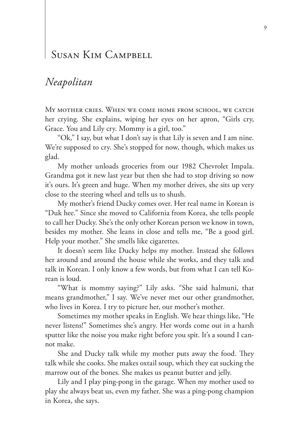#### SUSAN KIM CAMPBELL

#### *Neapolitan*

MY MOTHER CRIES. WHEN WE COME HOME FROM SCHOOL, WE CATCH her crying. She explains, wiping her eyes on her apron, "Girls cry, Grace. You and Lily cry. Mommy is a girl, too."

"Ok," I say, but what I don't say is that Lily is seven and I am nine. We're supposed to cry. She's stopped for now, though, which makes us glad.

My mother unloads groceries from our 1982 Chevrolet Impala. Grandma got it new last year but then she had to stop driving so now it's ours. It's green and huge. When my mother drives, she sits up very close to the steering wheel and tells us to shush.

My mother's friend Ducky comes over. Her real name in Korean is "Duk hee." Since she moved to California from Korea, she tells people to call her Ducky. She's the only other Korean person we know in town, besides my mother. She leans in close and tells me, "Be a good girl. Help your mother." She smells like cigarettes.

It doesn't seem like Ducky helps my mother. Instead she follows her around and around the house while she works, and they talk and talk in Korean. I only know a few words, but from what I can tell Korean is loud.

"What is mommy saying?" Lily asks. "She said halmuni, that means grandmother," I say. We've never met our other grandmother, who lives in Korea. I try to picture her, our mother's mother.

Sometimes my mother speaks in English. We hear things like, "He never listens!" Sometimes she's angry. Her words come out in a harsh sputter like the noise you make right before you spit. It's a sound I cannot make.

She and Ducky talk while my mother puts away the food. They talk while she cooks. She makes oxtail soup, which they eat sucking the marrow out of the bones. She makes us peanut butter and jelly.

Lily and I play ping-pong in the garage. When my mother used to play she always beat us, even my father. She was a ping-pong champion in Korea, she says.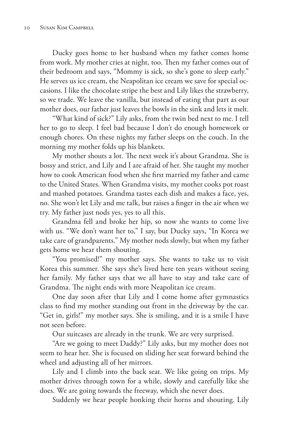Ducky goes home to her husband when my father comes home from work. My mother cries at night, too. Then my father comes out of their bedroom and says, "Mommy is sick, so she's gone to sleep early." He serves us ice cream, the Neapolitan ice cream we save for special occasions. I like the chocolate stripe the best and Lily likes the strawberry, so we trade. We leave the vanilla, but instead of eating that part as our mother does, our father just leaves the bowls in the sink and lets it melt.

"What kind of sick?" Lily asks, from the twin bed next to me. I tell her to go to sleep. I feel bad because I don't do enough homework or enough chores. On these nights my father sleeps on the couch. In the morning my mother folds up his blankets.

My mother shouts a lot. The next week it's about Grandma. She is bossy and strict, and Lily and I are afraid of her. She taught my mother how to cook American food when she first married my father and came to the United States. When Grandma visits, my mother cooks pot roast and mashed potatoes. Grandma tastes each dish and makes a face, yes, no. She won't let Lily and me talk, but raises a finger in the air when we try. My father just nods yes, yes to all this.

Grandma fell and broke her hip, so now she wants to come live with us. "We don't want her to," I say, but Ducky says, "In Korea we take care of grandparents." My mother nods slowly, but when my father gets home we hear them shouting.

"You promised!" my mother says. She wants to take us to visit Korea this summer. She says she's lived here ten years without seeing her family. My father says that we all have to stay and take care of Grandma. The night ends with more Neapolitan ice cream.

One day soon after that Lily and I come home after gymnastics class to find my mother standing out front in the driveway by the car. "Get in, girls!" my mother says. She is smiling, and it is a smile I have not seen before.

Our suitcases are already in the trunk. We are very surprised.

"Are we going to meet Daddy?" Lily asks, but my mother does not seem to hear her. She is focused on sliding her seat forward behind the wheel and adjusting all of her mirrors.

Lily and I climb into the back seat. We like going on trips. My mother drives through town for a while, slowly and carefully like she does. We are going towards the freeway, which she never does.

Suddenly we hear people honking their horns and shouting. Lily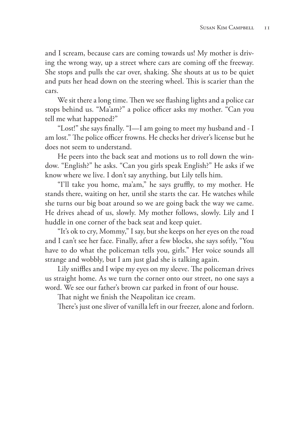and I scream, because cars are coming towards us! My mother is driving the wrong way, up a street where cars are coming off the freeway. She stops and pulls the car over, shaking. She shouts at us to be quiet and puts her head down on the steering wheel. This is scarier than the cars.

We sit there a long time. Then we see flashing lights and a police car stops behind us. "Ma'am?" a police officer asks my mother. "Can you tell me what happened?"

"Lost!" she says finally. "I—I am going to meet my husband and - I am lost." The police officer frowns. He checks her driver's license but he does not seem to understand.

He peers into the back seat and motions us to roll down the window. "English?" he asks. "Can you girls speak English?" He asks if we know where we live. I don't say anything, but Lily tells him.

"I'll take you home, ma'am," he says gruffly, to my mother. He stands there, waiting on her, until she starts the car. He watches while she turns our big boat around so we are going back the way we came. He drives ahead of us, slowly. My mother follows, slowly. Lily and I huddle in one corner of the back seat and keep quiet.

"It's ok to cry, Mommy," I say, but she keeps on her eyes on the road and I can't see her face. Finally, after a few blocks, she says softly, "You have to do what the policeman tells you, girls." Her voice sounds all strange and wobbly, but I am just glad she is talking again.

Lily sniffles and I wipe my eyes on my sleeve. The policeman drives us straight home. As we turn the corner onto our street, no one says a word. We see our father's brown car parked in front of our house.

That night we finish the Neapolitan ice cream.

There's just one sliver of vanilla left in our freezer, alone and forlorn.